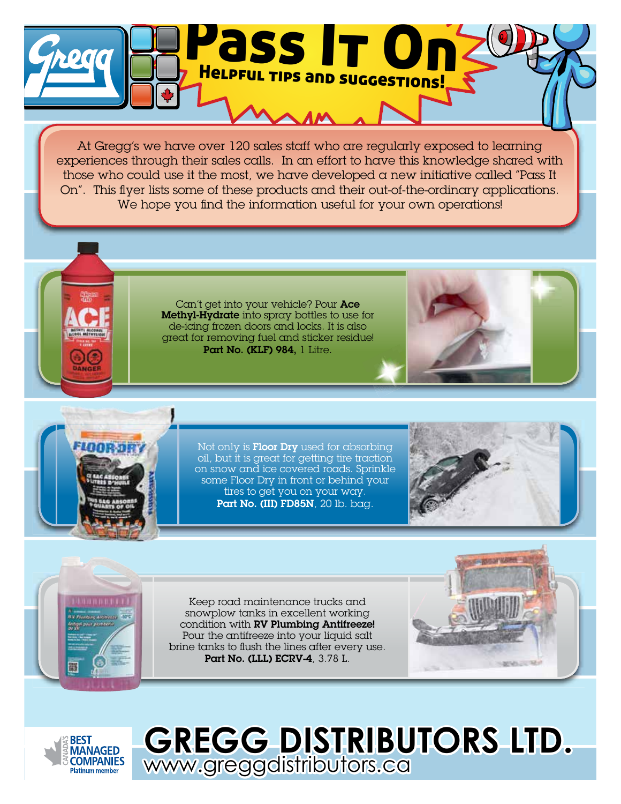

At Gregg's we have over 120 sales staff who are regularly exposed to learning experiences through their sales calls. In an effort to have this knowledge shared with those who could use it the most, we have developed a new initiative called "Pass It On". This flyer lists some of these products and their out-of-the-ordinary applications. We hope you find the information useful for your own operations!

Can't get into your vehicle? Pour Ace Methyl-Hydrate into spray bottles to use for de-icing frozen doors and locks. It is also great for removing fuel and sticker residue! Part No. (KLF) 984, 1 Litre.

Not only is Floor Dry used for absorbing oil, but it is great for getting tire traction on snow and ice covered roads. Sprinkle some Floor Dry in front or behind your tires to get you on your way. Part No. (III) FD85N, 20 lb. bag.





Keep road maintenance trucks and snowplow tanks in excellent working condition with RV Plumbing Antifreeze! Pour the antifreeze into your liquid salt brine tanks to flush the lines after every use. Part No. (LLL) ECRV-4, 3.78 L.





## **GREGG DISTRIBUTORS LTD.**  www.greggdistributors.ca